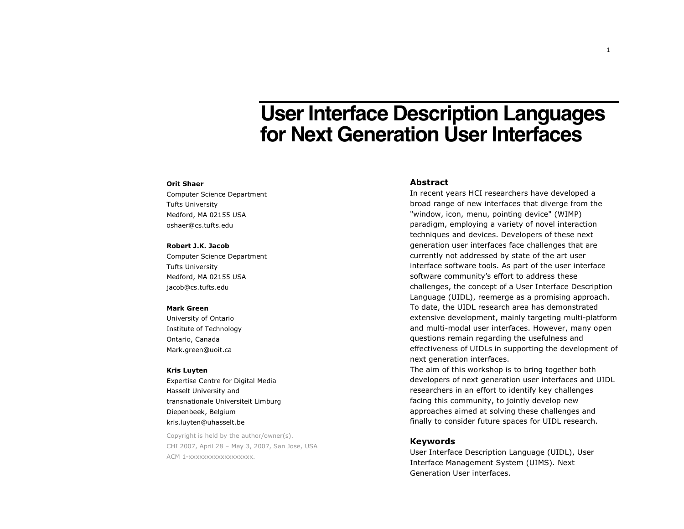# **User Interface Description Languages for Next Generation User Interfaces**

#### **Orit Shaer**

Computer Science Department Tufts University Medford, MA 02155 USA oshaer@cs.tufts.edu

#### **Robert J.K. Jacob**

Computer Science Department Tufts University Medford, MA 02155 USA jacob@cs.tufts.edu

#### **Mark Green**

University of Ontario Institute of Technology Ontario, Canada Mark.green@uoit.ca

#### **Kris Luyten**

Expertise Centre for Digital Media Hasselt University and transnationale Universiteit Limburg Diepenbeek, Belgium kris.luyten@uhasselt.be

Copyright is held by the author/owner(s). CHI 2007, April 28 – May 3, 2007, San Jose, USA acm 1-xxxxxxxxxxxxxxxxx.

## **Abstract**

In recent years HCI researchers have developed a broad range of new interfaces that diverge from the "window, icon, menu, pointing device" (WIMP) paradigm, employing a variety of novel interaction techniques and devices. Developers of these next generation user interfaces face challenges that are currently not addressed by state of the art user interface software tools. As part of the user interface software community's effort to address these challenges, the concept of a User Interface Description Language (UIDL), reemerge as a promising approach. To date, the UIDL research area has demonstrated extensive development, mainly targeting multi-platform and multi-modal user interfaces. However, many open questions remain regarding the usefulness and effectiveness of UIDLs in supporting the development of next generation interfaces.

The aim of this workshop is to bring together both developers of next generation user interfaces and UIDL researchers in an effort to identify key challenges facing this community, to jointly develop new approaches aimed at solving these challenges and finally to consider future spaces for UIDL research.

## **Keywords**

User Interface Description Language (UIDL), User Interface Management System (UIMS). Next Generation User interfaces.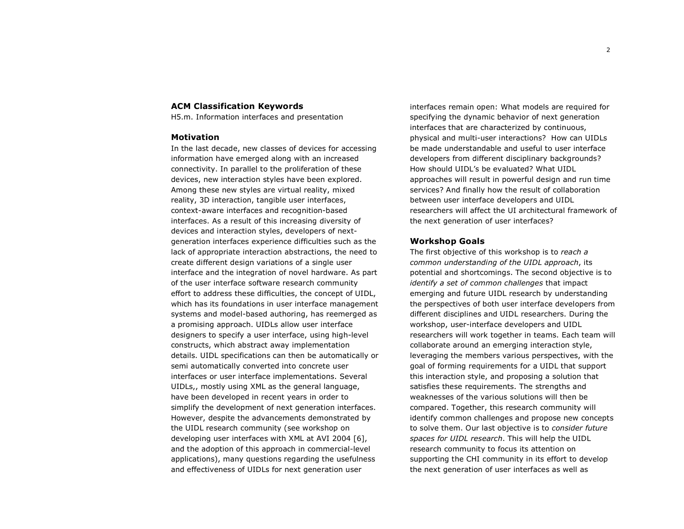#### **ACM Classification Keywords**

H5.m. Information interfaces and presentation

## **Motivation**

In the last decade, new classes of devices for accessing information have emerged along with an increased connectivity. In parallel to the proliferation of these devices, new interaction styles have been explored. Among these new styles are virtual reality, mixed reality, 3D interaction, tangible user interfaces, context-aware interfaces and recognition-based interfaces. As a result of this increasing diversity of devices and interaction styles, developers of nextgeneration interfaces experience difficulties such as the lack of appropriate interaction abstractions, the need to create different design variations of a single user interface and the integration of novel hardware. As part of the user interface software research community effort to address these difficulties, the concept of UIDL, which has its foundations in user interface management systems and model-based authoring, has reemerged as a promising approach. UIDLs allow user interface designers to specify a user interface, using high-level constructs, which abstract away implementation details. UIDL specifications can then be automatically or semi automatically converted into concrete user interfaces or user interface implementations. Several UIDLs,, mostly using XML as the general language, have been developed in recent years in order to simplify the development of next generation interfaces. However, despite the advancements demonstrated by the UIDL research community (see workshop on developing user interfaces with XML at AVI 2004 [6], and the adoption of this approach in commercial-level applications), many questions regarding the usefulness and effectiveness of UIDLs for next generation user

interfaces remain open: What models are required for specifying the dynamic behavior of next generation interfaces that are characterized by continuous, physical and multi-user interactions? How can UIDLs be made understandable and useful to user interface developers from different disciplinary backgrounds? How should UIDL's be evaluated? What UIDL approaches will result in powerful design and run time services? And finally how the result of collaboration between user interface developers and UIDL researchers will affect the UI architectural framework of the next generation of user interfaces?

## **Workshop Goals**

The first objective of this workshop is to *reach a common understanding of the UIDL approach*, its potential and shortcomings. The second objective is to *identify a set of common challenges* that impact emerging and future UIDL research by understanding the perspectives of both user interface developers from different disciplines and UIDL researchers. During the workshop, user-interface developers and UIDL researchers will work together in teams. Each team will collaborate around an emerging interaction style, leveraging the members various perspectives, with the goal of forming requirements for a UIDL that support this interaction style, and proposing a solution that satisfies these requirements. The strengths and weaknesses of the various solutions will then be compared. Together, this research community will identify common challenges and propose new concepts to solve them. Our last objective is to *consider future spaces for UIDL research*. This will help the UIDL research community to focus its attention on supporting the CHI community in its effort to develop the next generation of user interfaces as well as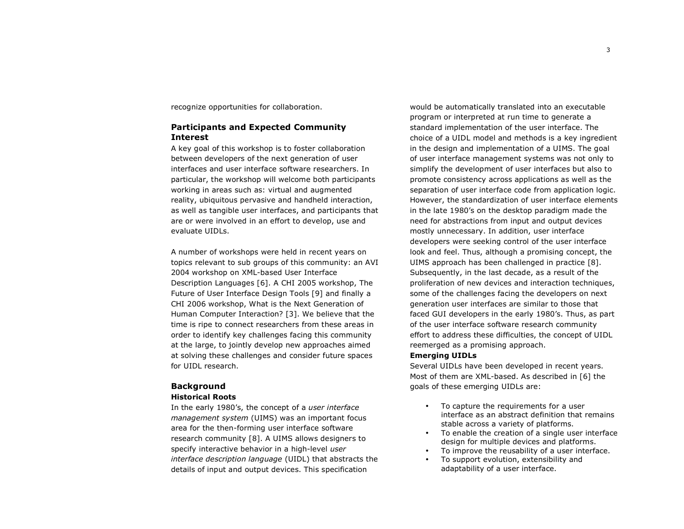recognize opportunities for collaboration.

## **Participants and Expected Community Interest**

A key goal of this workshop is to foster collaboration between developers of the next generation of user interfaces and user interface software researchers. In particular, the workshop will welcome both participants working in areas such as: virtual and augmented reality, ubiquitous pervasive and handheld interaction, as well as tangible user interfaces, and participants that are or were involved in an effort to develop, use and evaluate UIDLs.

A number of workshops were held in recent years on topics relevant to sub groups of this community: an AVI 2004 workshop on XML-based User Interface Description Languages [6]. A CHI 2005 workshop, The Future of User Interface Design Tools [9] and finally a CHI 2006 workshop, What is the Next Generation of Human Computer Interaction? [3]. We believe that the time is ripe to connect researchers from these areas in order to identify key challenges facing this community at the large, to jointly develop new approaches aimed at solving these challenges and consider future spaces for UIDL research.

#### **Background Historical Roots**

In the early 1980's, the concept of a *user interface management system* (UIMS) was an important focus area for the then-forming user interface software research community [8]. A UIMS allows designers to specify interactive behavior in a high-level *user interface description language* (UIDL) that abstracts the details of input and output devices. This specification

would be automatically translated into an executable program or interpreted at run time to generate a standard implementation of the user interface. The choice of a UIDL model and methods is a key ingredient in the design and implementation of a UIMS. The goal of user interface management systems was not only to simplify the development of user interfaces but also to promote consistency across applications as well as the separation of user interface code from application logic. However, the standardization of user interface elements in the late 1980's on the desktop paradigm made the need for abstractions from input and output devices mostly unnecessary. In addition, user interface developers were seeking control of the user interface look and feel. Thus, although a promising concept, the UIMS approach has been challenged in practice [8]. Subsequently, in the last decade, as a result of the proliferation of new devices and interaction techniques, some of the challenges facing the developers on next generation user interfaces are similar to those that faced GUI developers in the early 1980's. Thus, as part of the user interface software research community effort to address these difficulties, the concept of UIDL reemerged as a promising approach.

#### **Emerging UIDLs**

Several UIDLs have been developed in recent years. Most of them are XML-based. As described in [6] the goals of these emerging UIDLs are:

- To capture the requirements for a user interface as an abstract definition that remains stable across a variety of platforms.
- To enable the creation of a single user interface design for multiple devices and platforms.
- To improve the reusability of a user interface.
- To support evolution, extensibility and adaptability of a user interface.